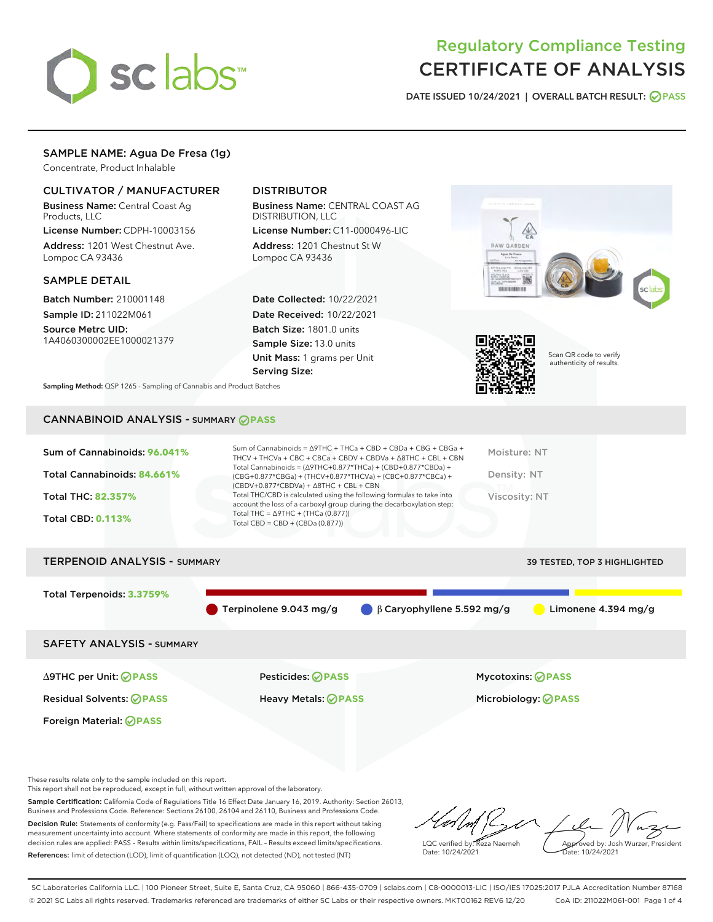

## Regulatory Compliance Testing CERTIFICATE OF ANALYSIS

DATE ISSUED 10/24/2021 | OVERALL BATCH RESULT: @ PASS

#### SAMPLE NAME: Agua De Fresa (1g)

Concentrate, Product Inhalable

#### CULTIVATOR / MANUFACTURER

Business Name: Central Coast Ag Products, LLC

License Number: CDPH-10003156 Address: 1201 West Chestnut Ave. Lompoc CA 93436

#### SAMPLE DETAIL

Batch Number: 210001148 Sample ID: 211022M061

Source Metrc UID: 1A4060300002EE1000021379

#### DISTRIBUTOR

Business Name: CENTRAL COAST AG DISTRIBUTION, LLC License Number: C11-0000496-LIC

Address: 1201 Chestnut St W Lompoc CA 93436

Date Collected: 10/22/2021 Date Received: 10/22/2021 Batch Size: 1801.0 units Sample Size: 13.0 units Unit Mass: 1 grams per Unit Serving Size:





Scan QR code to verify authenticity of results.

Sampling Method: QSP 1265 - Sampling of Cannabis and Product Batches

### CANNABINOID ANALYSIS - SUMMARY **PASS**

| Sum of Cannabinoids: 96.041% | Sum of Cannabinoids = $\triangle$ 9THC + THCa + CBD + CBDa + CBG + CBGa +<br>THCV + THCVa + CBC + CBCa + CBDV + CBDVa + $\Delta$ 8THC + CBL + CBN                                        | Moisture: NT  |
|------------------------------|------------------------------------------------------------------------------------------------------------------------------------------------------------------------------------------|---------------|
| Total Cannabinoids: 84.661%  | Total Cannabinoids = $(\Delta 9THC + 0.877*THCa) + (CBD + 0.877*CBDa) +$<br>(CBG+0.877*CBGa) + (THCV+0.877*THCVa) + (CBC+0.877*CBCa) +<br>$(CBDV+0.877*CBDVa) + \Delta 8THC + CBL + CBN$ | Density: NT   |
| Total THC: 82.357%           | Total THC/CBD is calculated using the following formulas to take into<br>account the loss of a carboxyl group during the decarboxylation step:                                           | Viscosity: NT |
| <b>Total CBD: 0.113%</b>     | Total THC = $\triangle$ 9THC + (THCa (0.877))<br>Total CBD = $CBD + (CBDa (0.877))$                                                                                                      |               |
|                              |                                                                                                                                                                                          |               |

# TERPENOID ANALYSIS - SUMMARY 39 TESTED, TOP 3 HIGHLIGHTED Total Terpenoids: **3.3759%** Terpinolene 9.043 mg/g β Caryophyllene 5.592 mg/g Limonene 4.394 mg/g SAFETY ANALYSIS - SUMMARY

Foreign Material: **PASS**

Residual Solvents: **PASS** Heavy Metals: **PASS** Microbiology: **PASS**

∆9THC per Unit: **PASS** Pesticides: **PASS** Mycotoxins: **PASS**

These results relate only to the sample included on this report.

This report shall not be reproduced, except in full, without written approval of the laboratory.

Sample Certification: California Code of Regulations Title 16 Effect Date January 16, 2019. Authority: Section 26013, Business and Professions Code. Reference: Sections 26100, 26104 and 26110, Business and Professions Code. Decision Rule: Statements of conformity (e.g. Pass/Fail) to specifications are made in this report without taking

measurement uncertainty into account. Where statements of conformity are made in this report, the following decision rules are applied: PASS – Results within limits/specifications, FAIL – Results exceed limits/specifications. References: limit of detection (LOD), limit of quantification (LOQ), not detected (ND), not tested (NT)

LQC verified by: Reza Naemeh Date: 10/24/2021 Approved by: Josh Wurzer, President Date: 10/24/2021

SC Laboratories California LLC. | 100 Pioneer Street, Suite E, Santa Cruz, CA 95060 | 866-435-0709 | sclabs.com | C8-0000013-LIC | ISO/IES 17025:2017 PJLA Accreditation Number 87168 © 2021 SC Labs all rights reserved. Trademarks referenced are trademarks of either SC Labs or their respective owners. MKT00162 REV6 12/20 CoA ID: 211022M061-001 Page 1 of 4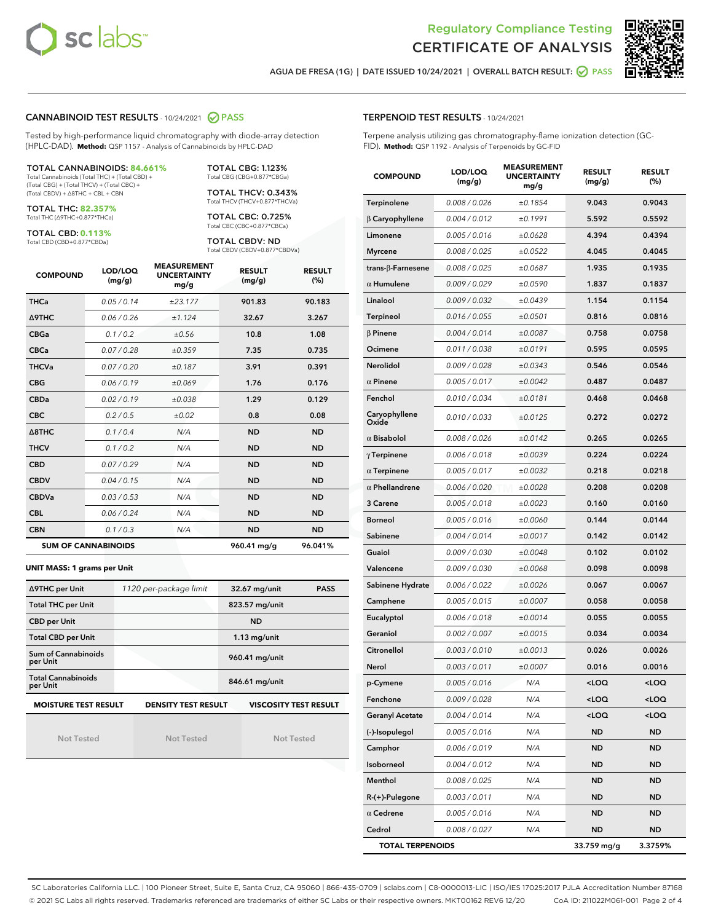



AGUA DE FRESA (1G) | DATE ISSUED 10/24/2021 | OVERALL BATCH RESULT:  $\bigcirc$  PASS

#### CANNABINOID TEST RESULTS - 10/24/2021 2 PASS

Tested by high-performance liquid chromatography with diode-array detection (HPLC-DAD). **Method:** QSP 1157 - Analysis of Cannabinoids by HPLC-DAD

#### TOTAL CANNABINOIDS: **84.661%**

Total Cannabinoids (Total THC) + (Total CBD) + (Total CBG) + (Total THCV) + (Total CBC) + (Total CBDV) + ∆8THC + CBL + CBN

TOTAL THC: **82.357%** Total THC (∆9THC+0.877\*THCa)

TOTAL CBD: **0.113%**

Total CBD (CBD+0.877\*CBDa)

TOTAL CBG: 1.123% Total CBG (CBG+0.877\*CBGa)

TOTAL THCV: 0.343% Total THCV (THCV+0.877\*THCVa)

TOTAL CBC: 0.725% Total CBC (CBC+0.877\*CBCa)

TOTAL CBDV: ND Total CBDV (CBDV+0.877\*CBDVa)

| <b>COMPOUND</b>  | LOD/LOQ<br>(mg/g)          | <b>MEASUREMENT</b><br><b>UNCERTAINTY</b><br>mg/g | <b>RESULT</b><br>(mg/g) | <b>RESULT</b><br>(%) |
|------------------|----------------------------|--------------------------------------------------|-------------------------|----------------------|
| <b>THCa</b>      | 0.05/0.14                  | ±23.177                                          | 901.83                  | 90.183               |
| <b>A9THC</b>     | 0.06 / 0.26                | ±1.124                                           | 32.67                   | 3.267                |
| <b>CBGa</b>      | 0.1 / 0.2                  | ±0.56                                            | 10.8                    | 1.08                 |
| <b>CBCa</b>      | 0.07 / 0.28                | ±0.359                                           | 7.35                    | 0.735                |
| <b>THCVa</b>     | 0.07 / 0.20                | ±0.187                                           | 3.91                    | 0.391                |
| <b>CBG</b>       | 0.06/0.19                  | ±0.069                                           | 1.76                    | 0.176                |
| <b>CBDa</b>      | 0.02/0.19                  | ±0.038                                           | 1.29                    | 0.129                |
| <b>CBC</b>       | 0.2 / 0.5                  | ±0.02                                            | 0.8                     | 0.08                 |
| $\triangle$ 8THC | 0.1 / 0.4                  | N/A                                              | <b>ND</b>               | <b>ND</b>            |
| <b>THCV</b>      | 0.1 / 0.2                  | N/A                                              | <b>ND</b>               | <b>ND</b>            |
| <b>CBD</b>       | 0.07/0.29                  | N/A                                              | <b>ND</b>               | <b>ND</b>            |
| <b>CBDV</b>      | 0.04 / 0.15                | N/A                                              | <b>ND</b>               | <b>ND</b>            |
| <b>CBDVa</b>     | 0.03 / 0.53                | N/A                                              | <b>ND</b>               | <b>ND</b>            |
| <b>CBL</b>       | 0.06 / 0.24                | N/A                                              | <b>ND</b>               | <b>ND</b>            |
| <b>CBN</b>       | 0.1/0.3                    | N/A                                              | <b>ND</b>               | <b>ND</b>            |
|                  | <b>SUM OF CANNABINOIDS</b> |                                                  | 960.41 mg/g             | 96.041%              |

#### **UNIT MASS: 1 grams per Unit**

| ∆9THC per Unit                        | 1120 per-package limit     | 32.67 mg/unit<br><b>PASS</b> |
|---------------------------------------|----------------------------|------------------------------|
| <b>Total THC per Unit</b>             |                            | 823.57 mg/unit               |
| <b>CBD per Unit</b>                   |                            | <b>ND</b>                    |
| <b>Total CBD per Unit</b>             |                            | $1.13$ mg/unit               |
| Sum of Cannabinoids<br>per Unit       |                            | 960.41 mg/unit               |
| <b>Total Cannabinoids</b><br>per Unit |                            | 846.61 mg/unit               |
| <b>MOISTURE TEST RESULT</b>           | <b>DENSITY TEST RESULT</b> | <b>VISCOSITY TEST RESULT</b> |

Not Tested

Not Tested

Not Tested

#### TERPENOID TEST RESULTS - 10/24/2021

Terpene analysis utilizing gas chromatography-flame ionization detection (GC-FID). **Method:** QSP 1192 - Analysis of Terpenoids by GC-FID

| <b>COMPOUND</b>         | LOD/LOQ<br>(mg/g) | <b>MEASUREMENT</b><br><b>UNCERTAINTY</b><br>mg/g | <b>RESULT</b><br>(mg/g)                         | <b>RESULT</b><br>$(\%)$ |
|-------------------------|-------------------|--------------------------------------------------|-------------------------------------------------|-------------------------|
| Terpinolene             | 0.008 / 0.026     | ±0.1854                                          | 9.043                                           | 0.9043                  |
| $\beta$ Caryophyllene   | 0.004 / 0.012     | ±0.1991                                          | 5.592                                           | 0.5592                  |
| Limonene                | 0.005 / 0.016     | ±0.0628                                          | 4.394                                           | 0.4394                  |
| <b>Myrcene</b>          | 0.008 / 0.025     | ±0.0522                                          | 4.045                                           | 0.4045                  |
| trans-β-Farnesene       | 0.008 / 0.025     | ±0.0687                                          | 1.935                                           | 0.1935                  |
| $\alpha$ Humulene       | 0.009/0.029       | ±0.0590                                          | 1.837                                           | 0.1837                  |
| Linalool                | 0.009 / 0.032     | ±0.0439                                          | 1.154                                           | 0.1154                  |
| <b>Terpineol</b>        | 0.016 / 0.055     | ±0.0501                                          | 0.816                                           | 0.0816                  |
| $\beta$ Pinene          | 0.004 / 0.014     | ±0.0087                                          | 0.758                                           | 0.0758                  |
| Ocimene                 | 0.011 / 0.038     | ±0.0191                                          | 0.595                                           | 0.0595                  |
| Nerolidol               | 0.009 / 0.028     | ±0.0343                                          | 0.546                                           | 0.0546                  |
| $\alpha$ Pinene         | 0.005 / 0.017     | ±0.0042                                          | 0.487                                           | 0.0487                  |
| Fenchol                 | 0.010 / 0.034     | ±0.0181                                          | 0.468                                           | 0.0468                  |
| Caryophyllene<br>Oxide  | 0.010 / 0.033     | ±0.0125                                          | 0.272                                           | 0.0272                  |
| $\alpha$ Bisabolol      | 0.008 / 0.026     | ±0.0142                                          | 0.265                                           | 0.0265                  |
| $\gamma$ Terpinene      | 0.006 / 0.018     | ±0.0039                                          | 0.224                                           | 0.0224                  |
| $\alpha$ Terpinene      | 0.005 / 0.017     | ±0.0032                                          | 0.218                                           | 0.0218                  |
| $\alpha$ Phellandrene   | 0.006 / 0.020     | ±0.0028                                          | 0.208                                           | 0.0208                  |
| 3 Carene                | 0.005 / 0.018     | ±0.0023                                          | 0.160                                           | 0.0160                  |
| <b>Borneol</b>          | 0.005 / 0.016     | ±0.0060                                          | 0.144                                           | 0.0144                  |
| Sabinene                | 0.004 / 0.014     | ±0.0017                                          | 0.142                                           | 0.0142                  |
| Guaiol                  | 0.009 / 0.030     | ±0.0048                                          | 0.102                                           | 0.0102                  |
| Valencene               | 0.009 / 0.030     | ±0.0068                                          | 0.098                                           | 0.0098                  |
| Sabinene Hydrate        | 0.006 / 0.022     | ±0.0026                                          | 0.067                                           | 0.0067                  |
| Camphene                | 0.005 / 0.015     | ±0.0007                                          | 0.058                                           | 0.0058                  |
| Eucalyptol              | 0.006 / 0.018     | ±0.0014                                          | 0.055                                           | 0.0055                  |
| Geraniol                | 0.002 / 0.007     | ±0.0015                                          | 0.034                                           | 0.0034                  |
| Citronellol             | 0.003 / 0.010     | ±0.0013                                          | 0.026                                           | 0.0026                  |
| Nerol                   | 0.003 / 0.011     | ±0.0007                                          | 0.016                                           | 0.0016                  |
| p-Cymene                | 0.005 / 0.016     | N/A                                              | $<$ LOQ                                         | $<$ LOQ                 |
| Fenchone                | 0.009 / 0.028     | N/A                                              | <loq< th=""><th><loq< th=""></loq<></th></loq<> | <loq< th=""></loq<>     |
| <b>Geranyl Acetate</b>  | 0.004 / 0.014     | N/A                                              | <loq< th=""><th><loq< th=""></loq<></th></loq<> | <loq< th=""></loq<>     |
| (-)-Isopulegol          | 0.005 / 0.016     | N/A                                              | ND                                              | ND                      |
| Camphor                 | 0.006 / 0.019     | N/A                                              | ND                                              | <b>ND</b>               |
| Isoborneol              | 0.004 / 0.012     | N/A                                              | ND                                              | ND                      |
| Menthol                 | 0.008 / 0.025     | N/A                                              | ND                                              | ND                      |
| R-(+)-Pulegone          | 0.003 / 0.011     | N/A                                              | ND                                              | ND                      |
| $\alpha$ Cedrene        | 0.005 / 0.016     | N/A                                              | ND                                              | ND                      |
| Cedrol                  | 0.008 / 0.027     | N/A                                              | ND                                              | <b>ND</b>               |
| <b>TOTAL TERPENOIDS</b> |                   |                                                  | 33.759 mg/g                                     | 3.3759%                 |

SC Laboratories California LLC. | 100 Pioneer Street, Suite E, Santa Cruz, CA 95060 | 866-435-0709 | sclabs.com | C8-0000013-LIC | ISO/IES 17025:2017 PJLA Accreditation Number 87168 © 2021 SC Labs all rights reserved. Trademarks referenced are trademarks of either SC Labs or their respective owners. MKT00162 REV6 12/20 CoA ID: 211022M061-001 Page 2 of 4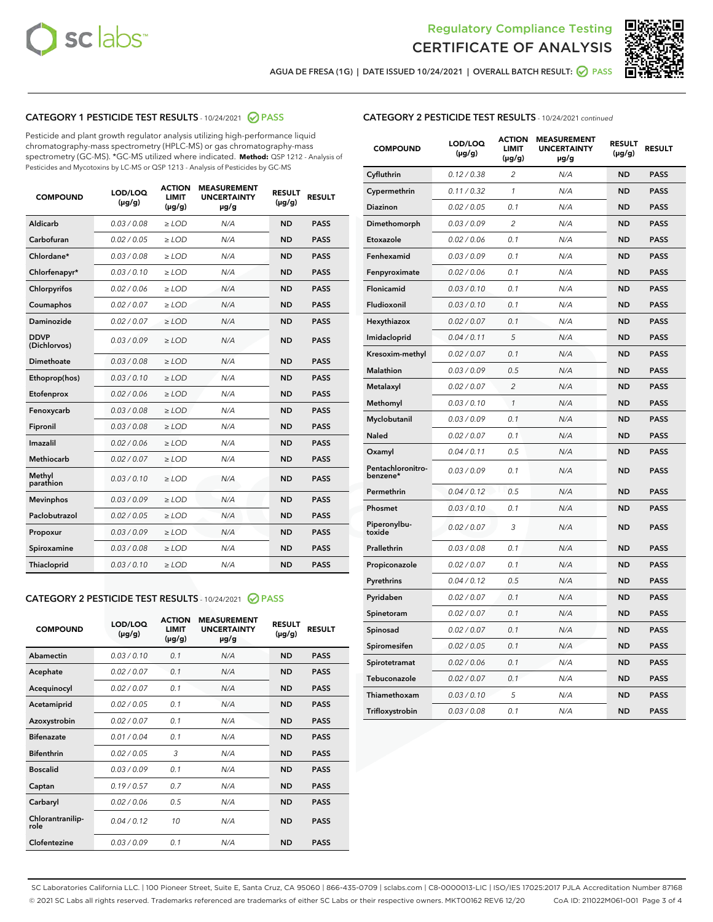



AGUA DE FRESA (1G) | DATE ISSUED 10/24/2021 | OVERALL BATCH RESULT:  $\bigcirc$  PASS

#### CATEGORY 1 PESTICIDE TEST RESULTS - 10/24/2021 2 PASS

Pesticide and plant growth regulator analysis utilizing high-performance liquid chromatography-mass spectrometry (HPLC-MS) or gas chromatography-mass spectrometry (GC-MS). \*GC-MS utilized where indicated. **Method:** QSP 1212 - Analysis of Pesticides and Mycotoxins by LC-MS or QSP 1213 - Analysis of Pesticides by GC-MS

| <b>COMPOUND</b>             | LOD/LOQ<br>$(\mu g/g)$ | <b>ACTION</b><br><b>LIMIT</b><br>$(\mu g/g)$ | <b>MEASUREMENT</b><br><b>UNCERTAINTY</b><br>$\mu$ g/g | <b>RESULT</b><br>$(\mu g/g)$ | <b>RESULT</b> |
|-----------------------------|------------------------|----------------------------------------------|-------------------------------------------------------|------------------------------|---------------|
| Aldicarb                    | 0.03 / 0.08            | $\ge$ LOD                                    | N/A                                                   | <b>ND</b>                    | <b>PASS</b>   |
| Carbofuran                  | 0.02 / 0.05            | $\ge$ LOD                                    | N/A                                                   | <b>ND</b>                    | <b>PASS</b>   |
| Chlordane*                  | 0.03 / 0.08            | $\ge$ LOD                                    | N/A                                                   | <b>ND</b>                    | <b>PASS</b>   |
| Chlorfenapyr*               | 0.03/0.10              | $\ge$ LOD                                    | N/A                                                   | <b>ND</b>                    | <b>PASS</b>   |
| Chlorpyrifos                | 0.02 / 0.06            | $\ge$ LOD                                    | N/A                                                   | <b>ND</b>                    | <b>PASS</b>   |
| Coumaphos                   | 0.02 / 0.07            | $\ge$ LOD                                    | N/A                                                   | <b>ND</b>                    | <b>PASS</b>   |
| Daminozide                  | 0.02 / 0.07            | $\ge$ LOD                                    | N/A                                                   | <b>ND</b>                    | <b>PASS</b>   |
| <b>DDVP</b><br>(Dichlorvos) | 0.03/0.09              | $>$ LOD                                      | N/A                                                   | <b>ND</b>                    | <b>PASS</b>   |
| Dimethoate                  | 0.03/0.08              | $\ge$ LOD                                    | N/A                                                   | <b>ND</b>                    | <b>PASS</b>   |
| Ethoprop(hos)               | 0.03/0.10              | $>$ LOD                                      | N/A                                                   | <b>ND</b>                    | <b>PASS</b>   |
| Etofenprox                  | 0.02 / 0.06            | $\ge$ LOD                                    | N/A                                                   | <b>ND</b>                    | <b>PASS</b>   |
| Fenoxycarb                  | 0.03/0.08              | $\ge$ LOD                                    | N/A                                                   | <b>ND</b>                    | <b>PASS</b>   |
| Fipronil                    | 0.03/0.08              | $\ge$ LOD                                    | N/A                                                   | <b>ND</b>                    | <b>PASS</b>   |
| Imazalil                    | 0.02 / 0.06            | $>$ LOD                                      | N/A                                                   | <b>ND</b>                    | <b>PASS</b>   |
| <b>Methiocarb</b>           | 0.02 / 0.07            | $\ge$ LOD                                    | N/A                                                   | <b>ND</b>                    | <b>PASS</b>   |
| Methyl<br>parathion         | 0.03/0.10              | $\ge$ LOD                                    | N/A                                                   | <b>ND</b>                    | <b>PASS</b>   |
| <b>Mevinphos</b>            | 0.03/0.09              | $\ge$ LOD                                    | N/A                                                   | <b>ND</b>                    | <b>PASS</b>   |
| Paclobutrazol               | 0.02 / 0.05            | $>$ LOD                                      | N/A                                                   | <b>ND</b>                    | <b>PASS</b>   |
| Propoxur                    | 0.03/0.09              | $\ge$ LOD                                    | N/A                                                   | <b>ND</b>                    | <b>PASS</b>   |
| Spiroxamine                 | 0.03/0.08              | $\ge$ LOD                                    | N/A                                                   | <b>ND</b>                    | <b>PASS</b>   |
| Thiacloprid                 | 0.03/0.10              | $\ge$ LOD                                    | N/A                                                   | <b>ND</b>                    | <b>PASS</b>   |

#### CATEGORY 2 PESTICIDE TEST RESULTS - 10/24/2021 @ PASS

| <b>COMPOUND</b>          | LOD/LOO<br>$(\mu g/g)$ | <b>ACTION</b><br>LIMIT<br>$(\mu g/g)$ | <b>MEASUREMENT</b><br><b>UNCERTAINTY</b><br>µg/g | <b>RESULT</b><br>$(\mu g/g)$ | <b>RESULT</b> |  |
|--------------------------|------------------------|---------------------------------------|--------------------------------------------------|------------------------------|---------------|--|
| Abamectin                | 0.03/0.10              | 0.1                                   | N/A                                              | <b>ND</b>                    | <b>PASS</b>   |  |
| Acephate                 | 0.02/0.07              | 0.1                                   | N/A                                              | <b>ND</b>                    | <b>PASS</b>   |  |
| Acequinocyl              | 0.02/0.07              | 0.1                                   | N/A                                              | <b>ND</b>                    | <b>PASS</b>   |  |
| Acetamiprid              | 0.02 / 0.05            | 0.1                                   | N/A                                              | <b>ND</b>                    | <b>PASS</b>   |  |
| Azoxystrobin             | 0.02/0.07              | 0.1                                   | N/A                                              | <b>ND</b>                    | <b>PASS</b>   |  |
| <b>Bifenazate</b>        | 0.01 / 0.04            | 0.1                                   | N/A                                              | <b>ND</b>                    | <b>PASS</b>   |  |
| <b>Bifenthrin</b>        | 0.02/0.05              | 3                                     | N/A                                              | <b>ND</b>                    | <b>PASS</b>   |  |
| <b>Boscalid</b>          | 0.03/0.09              | 0.1                                   | N/A                                              | <b>ND</b>                    | <b>PASS</b>   |  |
| Captan                   | 0.19/0.57              | 0.7                                   | N/A                                              | <b>ND</b>                    | <b>PASS</b>   |  |
| Carbaryl                 | 0.02/0.06              | 0.5                                   | N/A                                              | <b>ND</b>                    | <b>PASS</b>   |  |
| Chlorantranilip-<br>role | 0.04/0.12              | 10                                    | N/A                                              | <b>ND</b>                    | <b>PASS</b>   |  |
| Clofentezine             | 0.03/0.09              | 0.1                                   | N/A                                              | <b>ND</b>                    | <b>PASS</b>   |  |

#### CATEGORY 2 PESTICIDE TEST RESULTS - 10/24/2021 continued

| <b>COMPOUND</b>               | LOD/LOQ<br>(µg/g) | <b>ACTION</b><br><b>LIMIT</b><br>$(\mu g/g)$ | <b>MEASUREMENT</b><br><b>UNCERTAINTY</b><br>µg/g | <b>RESULT</b><br>(µg/g) | <b>RESULT</b> |
|-------------------------------|-------------------|----------------------------------------------|--------------------------------------------------|-------------------------|---------------|
| Cyfluthrin                    | 0.12 / 0.38       | $\overline{c}$                               | N/A                                              | ND                      | <b>PASS</b>   |
| Cypermethrin                  | 0.11 / 0.32       | $\mathcal{I}$                                | N/A                                              | ND                      | <b>PASS</b>   |
| <b>Diazinon</b>               | 0.02 / 0.05       | 0.1                                          | N/A                                              | <b>ND</b>               | <b>PASS</b>   |
| Dimethomorph                  | 0.03 / 0.09       | 2                                            | N/A                                              | ND                      | <b>PASS</b>   |
| Etoxazole                     | 0.02 / 0.06       | 0.1                                          | N/A                                              | ND                      | <b>PASS</b>   |
| Fenhexamid                    | 0.03 / 0.09       | 0.1                                          | N/A                                              | ND                      | <b>PASS</b>   |
| Fenpyroximate                 | 0.02 / 0.06       | 0.1                                          | N/A                                              | <b>ND</b>               | <b>PASS</b>   |
| Flonicamid                    | 0.03 / 0.10       | 0.1                                          | N/A                                              | ND                      | <b>PASS</b>   |
| Fludioxonil                   | 0.03 / 0.10       | 0.1                                          | N/A                                              | ND                      | <b>PASS</b>   |
| Hexythiazox                   | 0.02 / 0.07       | 0.1                                          | N/A                                              | ND                      | <b>PASS</b>   |
| Imidacloprid                  | 0.04 / 0.11       | 5                                            | N/A                                              | ND                      | <b>PASS</b>   |
| Kresoxim-methyl               | 0.02 / 0.07       | 0.1                                          | N/A                                              | ND                      | <b>PASS</b>   |
| Malathion                     | 0.03 / 0.09       | 0.5                                          | N/A                                              | <b>ND</b>               | <b>PASS</b>   |
| Metalaxyl                     | 0.02 / 0.07       | $\overline{c}$                               | N/A                                              | ND                      | <b>PASS</b>   |
| Methomyl                      | 0.03 / 0.10       | 1                                            | N/A                                              | ND                      | <b>PASS</b>   |
| Myclobutanil                  | 0.03 / 0.09       | 0.1                                          | N/A                                              | <b>ND</b>               | <b>PASS</b>   |
| Naled                         | 0.02 / 0.07       | 0.1                                          | N/A                                              | ND                      | <b>PASS</b>   |
| Oxamyl                        | 0.04 / 0.11       | 0.5                                          | N/A                                              | ND                      | <b>PASS</b>   |
| Pentachloronitro-<br>benzene* | 0.03 / 0.09       | 0.1                                          | N/A                                              | ND                      | <b>PASS</b>   |
| Permethrin                    | 0.04 / 0.12       | 0.5                                          | N/A                                              | ND                      | <b>PASS</b>   |
| Phosmet                       | 0.03 / 0.10       | 0.1                                          | N/A                                              | ND                      | <b>PASS</b>   |
| Piperonylbu-<br>toxide        | 0.02 / 0.07       | 3                                            | N/A                                              | ND                      | <b>PASS</b>   |
| Prallethrin                   | 0.03 / 0.08       | 0.1                                          | N/A                                              | ND                      | <b>PASS</b>   |
| Propiconazole                 | 0.02 / 0.07       | 0.1                                          | N/A                                              | ND                      | <b>PASS</b>   |
| Pyrethrins                    | 0.04 / 0.12       | 0.5                                          | N/A                                              | ND                      | <b>PASS</b>   |
| Pyridaben                     | 0.02 / 0.07       | 0.1                                          | N/A                                              | <b>ND</b>               | <b>PASS</b>   |
| Spinetoram                    | 0.02 / 0.07       | 0.1                                          | N/A                                              | ND                      | <b>PASS</b>   |
| Spinosad                      | 0.02 / 0.07       | 0.1                                          | N/A                                              | ND                      | <b>PASS</b>   |
| Spiromesifen                  | 0.02 / 0.05       | 0.1                                          | N/A                                              | <b>ND</b>               | <b>PASS</b>   |
| Spirotetramat                 | 0.02 / 0.06       | 0.1                                          | N/A                                              | ND                      | <b>PASS</b>   |
| Tebuconazole                  | 0.02 / 0.07       | 0.1                                          | N/A                                              | ND                      | <b>PASS</b>   |
| Thiamethoxam                  | 0.03 / 0.10       | 5                                            | N/A                                              | <b>ND</b>               | <b>PASS</b>   |
| Trifloxystrobin               | 0.03 / 0.08       | 0.1                                          | N/A                                              | <b>ND</b>               | <b>PASS</b>   |

SC Laboratories California LLC. | 100 Pioneer Street, Suite E, Santa Cruz, CA 95060 | 866-435-0709 | sclabs.com | C8-0000013-LIC | ISO/IES 17025:2017 PJLA Accreditation Number 87168 © 2021 SC Labs all rights reserved. Trademarks referenced are trademarks of either SC Labs or their respective owners. MKT00162 REV6 12/20 CoA ID: 211022M061-001 Page 3 of 4